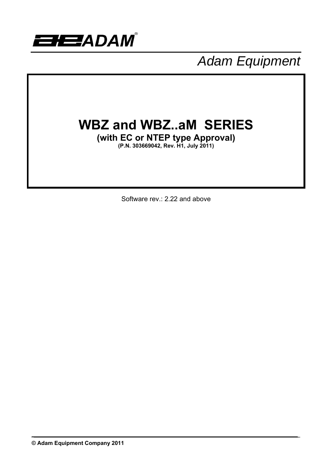

*Adam Equipment* 

# **WBZ and WBZ..aM SERIES**

**(with EC or NTEP type Approval)** 

**(P.N. 303669042, Rev. H1, July 2011)** 

Software rev.: 2.22 and above

**© Adam Equipment Company 2011**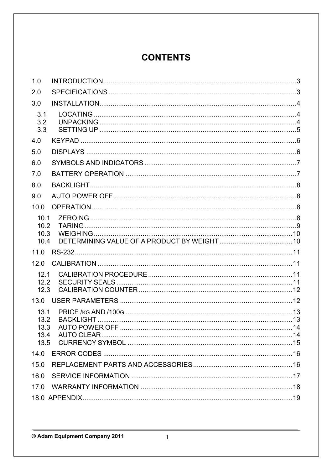## **CONTENTS**

| 1.0                                  |  |
|--------------------------------------|--|
| 2.0                                  |  |
| 3.0                                  |  |
| 3.1<br>3.2<br>3.3                    |  |
| 4.0                                  |  |
| 5.0                                  |  |
| 6.0                                  |  |
| 7.0                                  |  |
| 8.0                                  |  |
| 9.0                                  |  |
| 10.0                                 |  |
| 10.1<br>10.2<br>10.3<br>10.4         |  |
| 11.0                                 |  |
| 12.0                                 |  |
| 12.1<br>12.2<br>12.3                 |  |
| 13.0                                 |  |
| 13.1<br>13.2<br>13.3<br>13.4<br>13.5 |  |
|                                      |  |
| 15.0                                 |  |
| 16.0                                 |  |
| 17.0                                 |  |
|                                      |  |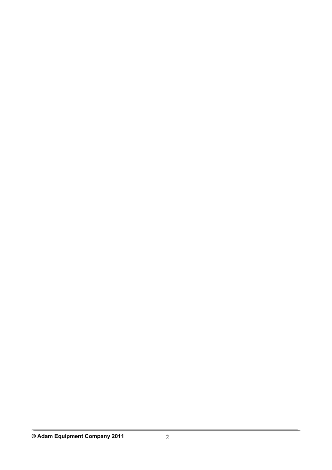**<sup>©</sup> Adam Equipment Company 2011** 2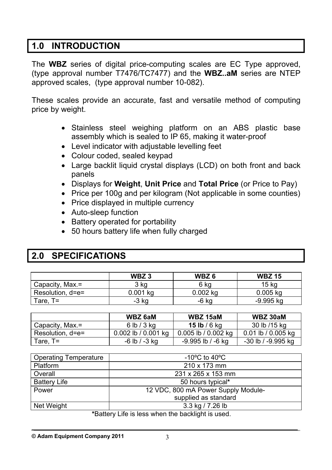## **1.0 INTRODUCTION**

The **WBZ** series of digital price-computing scales are EC Type approved, (type approval number T7476/TC7477) and the **WBZ..aM** series are NTEP approved scales, (type approval number 10-082).

These scales provide an accurate, fast and versatile method of computing price by weight.

- Stainless steel weighing platform on an ABS plastic base assembly which is sealed to IP 65, making it water-proof
- Level indicator with adjustable levelling feet
- Colour coded, sealed keypad
- Large backlit liquid crystal displays (LCD) on both front and back panels
- Displays for **Weight**, **Unit Price** and **Total Price** (or Price to Pay)
- Price per 100g and per kilogram (Not applicable in some counties)
- Price displayed in multiple currency
- Auto-sleep function
- Battery operated for portability
- 50 hours battery life when fully charged

#### **2.0 SPECIFICATIONS**

|                  | WBZ <sub>3</sub> | WBZ <sub>6</sub> | <b>WBZ 15</b>    |
|------------------|------------------|------------------|------------------|
| Capacity, Max.=  | 3 kg             | 6 kg             | 15 <sub>ka</sub> |
| Resolution, d=e= | $0.001$ kg       | 0.002 kg         | $0.005$ kg       |
| Tare, T=         | $-3$ kg          | $-6$ kg          | -9.995 kg        |

|                  | <b>WBZ 6aM</b>      | <b>WBZ 15aM</b>     | <b>WBZ 30aM</b>      |
|------------------|---------------------|---------------------|----------------------|
| Capacity, Max.=  | 6 lb / 3 kg         | 15 lb / 6 kg        | 30 lb /15 kg         |
| Resolution, d=e= | 0.002 lb / 0.001 kg | 0.005 lb / 0.002 kg | $0.01$ lb / 0.005 kg |
| Tare, T=         | $-6$ lb $/ -3$ kg   | -9.995 lb / -6 kg   | -30 lb / -9.995 kg   |

| <b>Operating Temperature</b> | $-10^{\circ}$ C to $40^{\circ}$ C   |
|------------------------------|-------------------------------------|
| Platform                     | 210 x 173 mm                        |
| Overall                      | 231 x 265 x 153 mm                  |
| <b>Battery Life</b>          | 50 hours typical*                   |
| Power                        | 12 VDC, 800 mA Power Supply Module- |
|                              | supplied as standard                |
| Net Weight                   | 3.3 kg / 7.26 lb                    |
|                              |                                     |

**\***Battery Life is less when the backlight is used.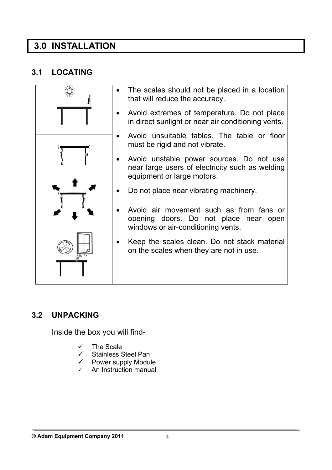## **3.0 INSTALLATION**

#### **3.1 LOCATING**



- The scales should not be placed in a location that will reduce the accuracy.
- Avoid extremes of temperature. Do not place in direct sunlight or near air conditioning vents.
- Avoid unsuitable tables. The table or floor must be rigid and not vibrate.
- Avoid unstable power sources. Do not use near large users of electricity such as welding equipment or large motors.
- Do not place near vibrating machinery.
- Avoid air movement such as from fans or opening doors. Do not place near open windows or air-conditioning vents.
- Keep the scales clean. Do not stack material on the scales when they are not in use.

#### **3.2 UNPACKING**

Inside the box you will find-

- $\checkmark$  The Scale
- $\checkmark$  Stainless Steel Pan
- $\checkmark$  Power supply Module
- An Instruction manual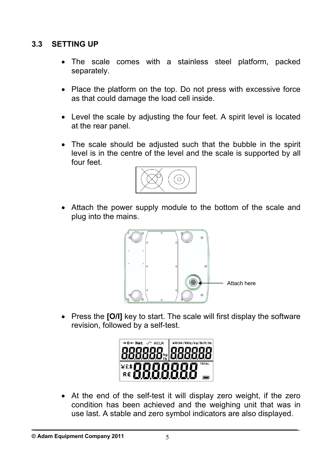#### **3.3 SETTING UP**

- The scale comes with a stainless steel platform, packed separately.
- Place the platform on the top. Do not press with excessive force as that could damage the load cell inside.
- Level the scale by adjusting the four feet. A spirit level is located at the rear panel.
- The scale should be adjusted such that the bubble in the spirit level is in the centre of the level and the scale is supported by all four feet.



 Attach the power supply module to the bottom of the scale and plug into the mains.



• Press the **[O/I]** key to start. The scale will first display the software revision, followed by a self-test.

| <u>000000  000000</u> |  |
|-----------------------|--|
| <b>*εsQQQQQN</b>      |  |
| ៱៵ឨឨឨឨឨឨឨ             |  |
|                       |  |

 At the end of the self-test it will display zero weight, if the zero condition has been achieved and the weighing unit that was in use last. A stable and zero symbol indicators are also displayed.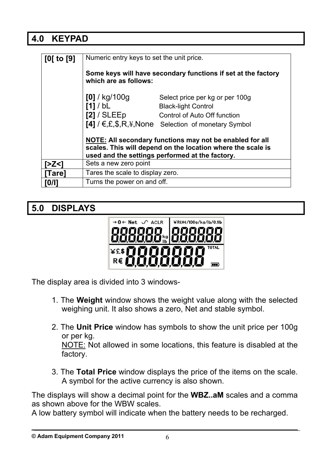## **4.0 KEYPAD**

| $[0]$ to $[9]$ | Numeric entry keys to set the unit price.<br>Some keys will have secondary functions if set at the factory<br>which are as follows: |                                                                                                                                                                                                                                                                                                   |  |
|----------------|-------------------------------------------------------------------------------------------------------------------------------------|---------------------------------------------------------------------------------------------------------------------------------------------------------------------------------------------------------------------------------------------------------------------------------------------------|--|
|                | $[0]$ / kg/100g<br>$[1]$ / bL<br>$[2]$ / SLEEp                                                                                      | Select price per kg or per 100g<br><b>Black-light Control</b><br>Control of Auto Off function<br>$[4]$ / $\in$ , £, \$, R, ¥, None Selection of monetary Symbol<br><b>NOTE:</b> All secondary functions may not be enabled for all<br>scales. This will depend on the location where the scale is |  |
| [>Z<]          | used and the settings performed at the factory.<br>Sets a new zero point                                                            |                                                                                                                                                                                                                                                                                                   |  |
| [Tare]         | Tares the scale to display zero.                                                                                                    |                                                                                                                                                                                                                                                                                                   |  |
| [0/l]          | Turns the power on and off.                                                                                                         |                                                                                                                                                                                                                                                                                                   |  |

## **5.0 DISPLAYS**



The display area is divided into 3 windows-

- 1. The **Weight** window shows the weight value along with the selected weighing unit. It also shows a zero, Net and stable symbol.
- 2. The **Unit Price** window has symbols to show the unit price per 100g or per kg. NOTE: Not allowed in some locations, this feature is disabled at the factory.
- 3. The **Total Price** window displays the price of the items on the scale. A symbol for the active currency is also shown.

The displays will show a decimal point for the **WBZ..aM** scales and a comma as shown above for the WBW scales.

A low battery symbol will indicate when the battery needs to be recharged.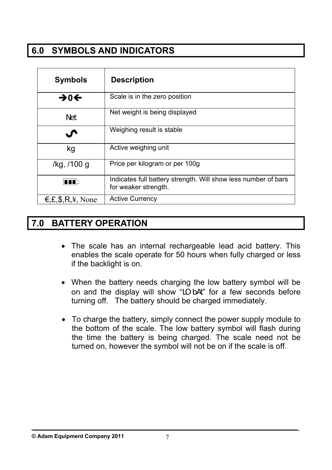## **6.0 SYMBOLS AND INDICATORS**

| <b>Symbols</b>                 | <b>Description</b>                                                                     |
|--------------------------------|----------------------------------------------------------------------------------------|
| $\rightarrow 0$                | Scale is in the zero position                                                          |
| <b>Net</b>                     | Net weight is being displayed                                                          |
|                                | Weighing result is stable                                                              |
| kg                             | Active weighing unit                                                                   |
| /kg, /100 g                    | Price per kilogram or per 100g                                                         |
| TTI)                           | Indicates full battery strength. Will show less number of bars<br>for weaker strength. |
| $\epsilon$ , £, \$, R, ¥, None | <b>Active Currency</b>                                                                 |

#### **7.0 BATTERY OPERATION**

- The scale has an internal rechargeable lead acid battery. This enables the scale operate for 50 hours when fully charged or less if the backlight is on.
- When the battery needs charging the low battery symbol will be on and the display will show "LO bAt" for a few seconds before turning off. The battery should be charged immediately.
- To charge the battery, simply connect the power supply module to the bottom of the scale. The low battery symbol will flash during the time the battery is being charged. The scale need not be turned on, however the symbol will not be on if the scale is off.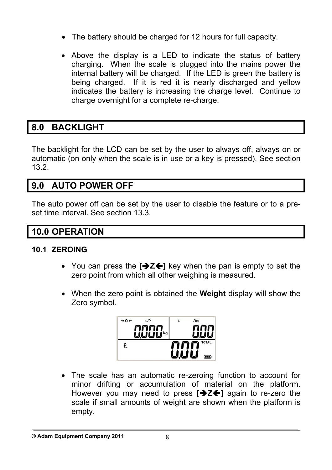- The battery should be charged for 12 hours for full capacity.
- Above the display is a LED to indicate the status of battery charging. When the scale is plugged into the mains power the internal battery will be charged. If the LED is green the battery is being charged. If it is red it is nearly discharged and yellow indicates the battery is increasing the charge level. Continue to charge overnight for a complete re-charge.

## **8.0 BACKLIGHT**

The backlight for the LCD can be set by the user to always off, always on or automatic (on only when the scale is in use or a key is pressed). See section 13.2.

## **9.0 AUTO POWER OFF**

The auto power off can be set by the user to disable the feature or to a preset time interval. See section 13.3.

## **10.0 OPERATION**

#### **10.1 ZEROING**

- You can press the  $[\rightarrow Z \leftarrow]$  key when the pan is empty to set the zero point from which all other weighing is measured.
- When the zero point is obtained the **Weight** display will show the Zero symbol.



 The scale has an automatic re-zeroing function to account for minor drifting or accumulation of material on the platform. However you may need to press  $[\rightarrow Z \leftarrow]$  again to re-zero the scale if small amounts of weight are shown when the platform is empty.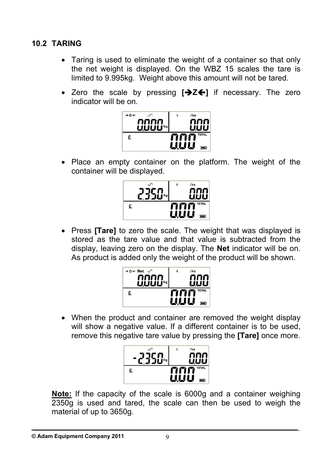#### **10.2 TARING**

- Taring is used to eliminate the weight of a container so that only the net weight is displayed. On the WBZ 15 scales the tare is limited to 9.995kg. Weight above this amount will not be tared.
- Zero the scale by pressing  $[\rightarrow Z \leftarrow]$  if necessary. The zero indicator will be on.



• Place an empty container on the platform. The weight of the container will be displayed.



 Press **[Tare]** to zero the scale. The weight that was displayed is stored as the tare value and that value is subtracted from the display, leaving zero on the display. The **Net** indicator will be on. As product is added only the weight of the product will be shown.



• When the product and container are removed the weight display will show a negative value. If a different container is to be used, remove this negative tare value by pressing the **[Tare]** once more.



**Note:** If the capacity of the scale is 6000g and a container weighing 2350g is used and tared, the scale can then be used to weigh the material of up to 3650g.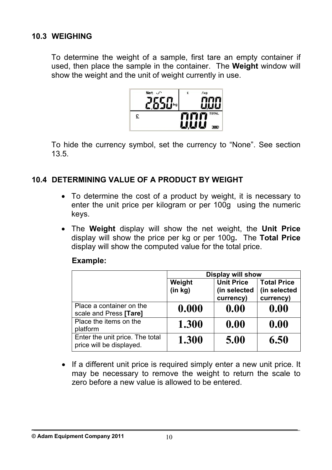#### **10.3 WEIGHING**

To determine the weight of a sample, first tare an empty container if used, then place the sample in the container. The **Weight** window will show the weight and the unit of weight currently in use.



To hide the currency symbol, set the currency to "None". See section 13.5.

#### **10.4 DETERMINING VALUE OF A PRODUCT BY WEIGHT**

- To determine the cost of a product by weight, it is necessary to enter the unit price per kilogram or per 100g using the numeric keys.
- The **Weight** display will show the net weight, the **Unit Price** display will show the price per kg or per 100g**.** The **Total Price** display will show the computed value for the total price.

|                                                             | <b>Display will show</b> |                                                |                                                 |
|-------------------------------------------------------------|--------------------------|------------------------------------------------|-------------------------------------------------|
|                                                             | Weight<br>(in kg)        | <b>Unit Price</b><br>(in selected<br>currency) | <b>Total Price</b><br>(in selected<br>currency) |
| Place a container on the<br>scale and Press [Tare]          | 0.000                    | 0.00                                           | 0.00                                            |
| Place the items on the<br>platform                          | 1.300                    | 0.00                                           | 0.00                                            |
| Enter the unit price. The total<br>price will be displayed. | 1.300                    | 5.00                                           | 6.50                                            |

#### **Example:**

• If a different unit price is required simply enter a new unit price. It may be necessary to remove the weight to return the scale to zero before a new value is allowed to be entered.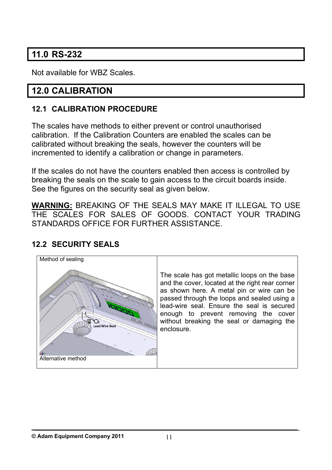#### **11.0 RS-232**

Not available for WBZ Scales.

#### **12.0 CALIBRATION**

#### **12.1 CALIBRATION PROCEDURE**

The scales have methods to either prevent or control unauthorised calibration. If the Calibration Counters are enabled the scales can be calibrated without breaking the seals, however the counters will be incremented to identify a calibration or change in parameters.

If the scales do not have the counters enabled then access is controlled by breaking the seals on the scale to gain access to the circuit boards inside. See the figures on the security seal as given below.

**WARNING:** BREAKING OF THE SEALS MAY MAKE IT ILLEGAL TO USE THE SCALES FOR SALES OF GOODS. CONTACT YOUR TRADING STANDARDS OFFICE FOR FURTHER ASSISTANCE.

#### **12.2 SECURITY SEALS**



#### **© Adam Equipment Company 2011** 11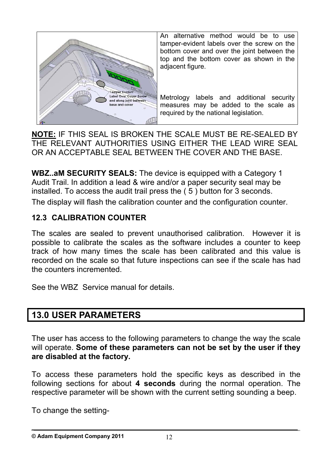

An alternative method would be to use tamper-evident labels over the screw on the bottom cover and over the joint between the top and the bottom cover as shown in the adjacent figure.

Metrology labels and additional security measures may be added to the scale as required by the national legislation.

**NOTE:** IF THIS SEAL IS BROKEN THE SCALE MUST BE RE-SEALED BY THE RELEVANT AUTHORITIES USING EITHER THE LEAD WIRE SEAL OR AN ACCEPTABLE SEAL BETWEEN THE COVER AND THE BASE.

**WBZ..aM SECURITY SEALS:** The device is equipped with a Category 1 Audit Trail. In addition a lead & wire and/or a paper security seal may be installed. To access the audit trail press the ( 5 ) button for 3 seconds.

The display will flash the calibration counter and the configuration counter.

#### **12.3 CALIBRATION COUNTER**

The scales are sealed to prevent unauthorised calibration. However it is possible to calibrate the scales as the software includes a counter to keep track of how many times the scale has been calibrated and this value is recorded on the scale so that future inspections can see if the scale has had the counters incremented.

See the WBZ Service manual for details.

### **13.0 USER PARAMETERS**

The user has access to the following parameters to change the way the scale will operate. **Some of these parameters can not be set by the user if they are disabled at the factory.** 

To access these parameters hold the specific keys as described in the following sections for about **4 seconds** during the normal operation. The respective parameter will be shown with the current setting sounding a beep.

To change the setting-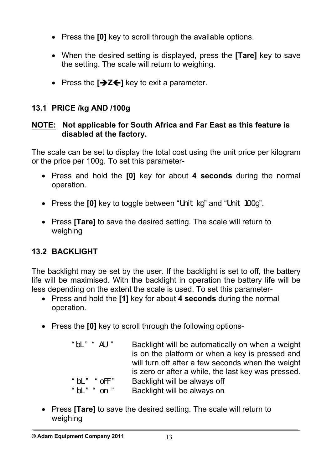- Press the **[0]** key to scroll through the available options.
- When the desired setting is displayed, press the **[Tare]** key to save the setting. The scale will return to weighing.
- Press the **[→Z←]** key to exit a parameter.

#### **13.1 PRICE /kg AND /100g**

#### **NOTE: Not applicable for South Africa and Far East as this feature is disabled at the factory.**

The scale can be set to display the total cost using the unit price per kilogram or the price per 100g. To set this parameter-

- Press and hold the **[0]** key for about **4 seconds** during the normal operation.
- Press the **[0]** key to toggle between "Unit kg" and "Unit 100g".
- Press **[Tare]** to save the desired setting. The scale will return to weighing

#### **13.2 BACKLIGHT**

The backlight may be set by the user. If the backlight is set to off, the battery life will be maximised. With the backlight in operation the battery life will be less depending on the extent the scale is used. To set this parameter-

- Press and hold the **[1]** key for about **4 seconds** during the normal operation.
- Press the **[0]** key to scroll through the following options-

| "bl " " AU "    | Backlight will be automatically on when a weight<br>is on the platform or when a key is pressed and<br>will turn off after a few seconds when the weight<br>is zero or after a while, the last key was pressed. |
|-----------------|-----------------------------------------------------------------------------------------------------------------------------------------------------------------------------------------------------------------|
| " bl " " of F " | Backlight will be always off                                                                                                                                                                                    |
| " bl " " on "   | Backlight will be always on                                                                                                                                                                                     |

• Press **[Tare]** to save the desired setting. The scale will return to weighing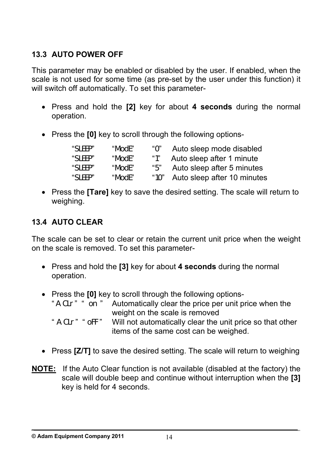#### **13.3 AUTO POWER OFF**

This parameter may be enabled or disabled by the user. If enabled, when the scale is not used for some time (as pre-set by the user under this function) it will switch off automatically. To set this parameter-

- Press and hold the **[2]** key for about **4 seconds** during the normal operation.
- Press the **[0]** key to scroll through the following options-

| "SLEEP" | "ModE" | "በ"  | Auto sleep mode disabled    |
|---------|--------|------|-----------------------------|
| "SLEEP" | "ModE" | "1"  | Auto sleep after 1 minute   |
| "SLEEP" | "ModE" | "5"  | Auto sleep after 5 minutes  |
| "SLEEP" | "ModE" | "10" | Auto sleep after 10 minutes |

 Press the **[Tare]** key to save the desired setting. The scale will return to weighing.

#### **13.4 AUTO CLEAR**

The scale can be set to clear or retain the current unit price when the weight on the scale is removed. To set this parameter-

- Press and hold the **[3]** key for about **4 seconds** during the normal operation.
- Press the **[0]** key to scroll through the following options-
	- "A CLr " " on " Automatically clear the price per unit price when the weight on the scale is removed
	- " A CLr " " oFF " Will not automatically clear the unit price so that other items of the same cost can be weighed.
- Press **[Z/T]** to save the desired setting. The scale will return to weighing
- **NOTE:** If the Auto Clear function is not available (disabled at the factory) the scale will double beep and continue without interruption when the **[3]**  key is held for 4 seconds.

**© Adam Equipment Company 2011** 14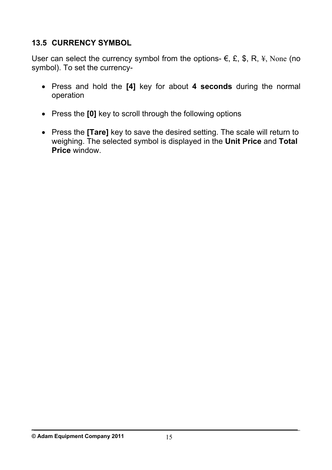#### **13.5 CURRENCY SYMBOL**

User can select the currency symbol from the options-  $\epsilon$ , £, \$, R, ¥, None (no symbol). To set the currency-

- Press and hold the **[4]** key for about **4 seconds** during the normal operation
- Press the **[0]** key to scroll through the following options
- Press the **[Tare]** key to save the desired setting. The scale will return to weighing. The selected symbol is displayed in the **Unit Price** and **Total Price** window.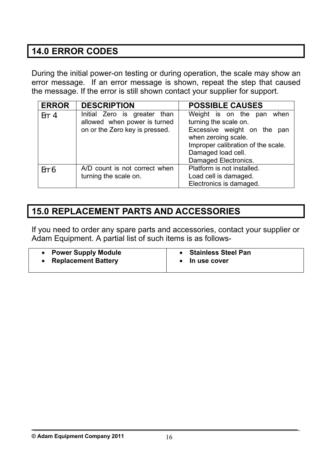#### **14.0 ERROR CODES**

During the initial power-on testing or during operation, the scale may show an error message. If an error message is shown, repeat the step that caused the message. If the error is still shown contact your supplier for support.

| <b>ERROR</b>     | <b>DESCRIPTION</b>                                                                             | <b>POSSIBLE CAUSES</b>                                                                                                                                                                          |
|------------------|------------------------------------------------------------------------------------------------|-------------------------------------------------------------------------------------------------------------------------------------------------------------------------------------------------|
| Err <sub>4</sub> | Initial Zero is greater than<br>allowed when power is turned<br>on or the Zero key is pressed. | Weight is on the pan when<br>turning the scale on.<br>Excessive weight on the<br>pan<br>when zeroing scale.<br>Improper calibration of the scale.<br>Damaged load cell.<br>Damaged Electronics. |
| Err <sub>6</sub> | A/D count is not correct when<br>turning the scale on.                                         | Platform is not installed.<br>Load cell is damaged.<br>Electronics is damaged.                                                                                                                  |

#### **15.0 REPLACEMENT PARTS AND ACCESSORIES**

If you need to order any spare parts and accessories, contact your supplier or Adam Equipment. A partial list of such items is as follows-

| <b>Power Supply Module</b> | • Stainless Steel Pan |
|----------------------------|-----------------------|
| <b>Replacement Battery</b> | In use cover          |
|                            |                       |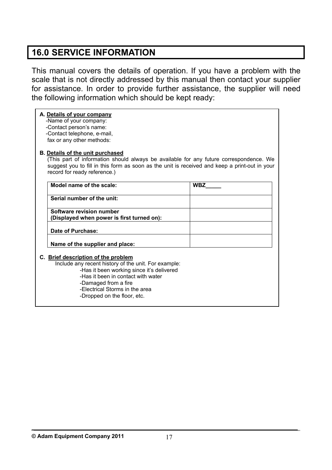#### **16.0 SERVICE INFORMATION**

This manual covers the details of operation. If you have a problem with the scale that is not directly addressed by this manual then contact your supplier for assistance. In order to provide further assistance, the supplier will need the following information which should be kept ready:

#### **A. Details of your company**

-Name of your company:

-Contact person's name:

 -Contact telephone, e-mail, fax or any other methods:

**B. Details of the unit purchased** (This part of information should always be available for any future correspondence. We suggest you to fill in this form as soon as the unit is received and keep a print-out in your record for ready reference.)

| Model name of the scale:                   | <b>WBZ</b> |
|--------------------------------------------|------------|
| Serial number of the unit:                 |            |
| Software revision number                   |            |
| (Displayed when power is first turned on): |            |
|                                            |            |
| Date of Purchase:                          |            |
|                                            |            |
| Name of the supplier and place:            |            |

#### **C. Brief description of the problem**

Include any recent history of the unit. For example:

-Has it been working since it's delivered

-Has it been in contact with water

-Damaged from a fire

- -Electrical Storms in the area
- -Dropped on the floor, etc.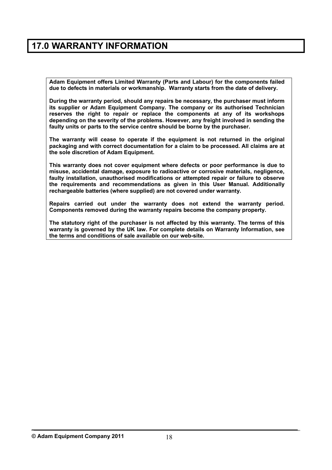#### **17.0 WARRANTY INFORMATION**

**Adam Equipment offers Limited Warranty (Parts and Labour) for the components failed due to defects in materials or workmanship. Warranty starts from the date of delivery.** 

**During the warranty period, should any repairs be necessary, the purchaser must inform its supplier or Adam Equipment Company. The company or its authorised Technician reserves the right to repair or replace the components at any of its workshops depending on the severity of the problems. However, any freight involved in sending the faulty units or parts to the service centre should be borne by the purchaser.** 

**The warranty will cease to operate if the equipment is not returned in the original packaging and with correct documentation for a claim to be processed. All claims are at the sole discretion of Adam Equipment.** 

**This warranty does not cover equipment where defects or poor performance is due to misuse, accidental damage, exposure to radioactive or corrosive materials, negligence, faulty installation, unauthorised modifications or attempted repair or failure to observe the requirements and recommendations as given in this User Manual. Additionally rechargeable batteries (where supplied) are not covered under warranty.** 

**Repairs carried out under the warranty does not extend the warranty period. Components removed during the warranty repairs become the company property.** 

**The statutory right of the purchaser is not affected by this warranty. The terms of this warranty is governed by the UK law. For complete details on Warranty Information, see the terms and conditions of sale available on our web-site.**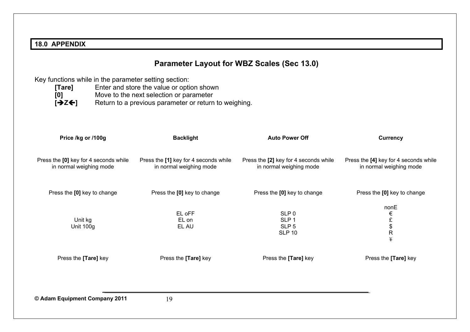#### **18.0 APPENDIX**

#### **Parameter Layout for WBZ Scales (Sec 13.0)**

Key functions while in the parameter setting section:<br> **[Tare]** Enter and store the value or optic

| [Tare] |  | Enter and store the value or option shown |  |
|--------|--|-------------------------------------------|--|
|--------|--|-------------------------------------------|--|

**[0]** Move to the next selection or parameter<br> **[→Z←]** Return to a previous parameter or return

**[Z]** Return to a previous parameter or return to weighing.

| Price /kg or /100g                                               | <b>Backlight</b>                                                 | <b>Auto Power Off</b>                                                     | <b>Currency</b>                                                  |
|------------------------------------------------------------------|------------------------------------------------------------------|---------------------------------------------------------------------------|------------------------------------------------------------------|
| Press the [0] key for 4 seconds while<br>in normal weighing mode | Press the [1] key for 4 seconds while<br>in normal weighing mode | Press the [2] key for 4 seconds while<br>in normal weighing mode          | Press the [4] key for 4 seconds while<br>in normal weighing mode |
| Press the [0] key to change                                      | Press the [0] key to change                                      | Press the [0] key to change                                               | Press the [0] key to change                                      |
| Unit kg<br>Unit 100g                                             | EL oFF<br>EL on<br>EL AU                                         | SLP <sub>0</sub><br>SLP <sub>1</sub><br>SLP <sub>5</sub><br><b>SLP 10</b> | nonE<br>€<br>$R$<br>$R$<br>¥                                     |
| Press the [Tare] key                                             | Press the [Tare] key                                             | Press the [Tare] key                                                      | Press the [Tare] key                                             |
|                                                                  |                                                                  |                                                                           |                                                                  |
| © Adam Equipment Company 2011                                    | 19                                                               |                                                                           |                                                                  |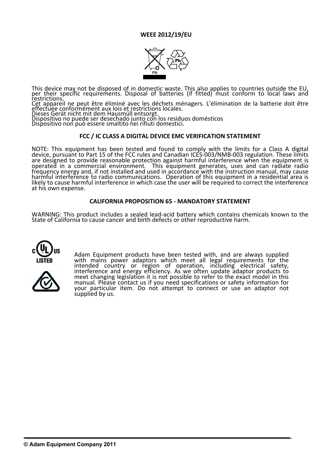#### **WEEE 2012/19/EU**



This device may not be disposed of in domestic waste. This also applies to countries outside the EU, per their specific requirements. Disposal of batteries (if fitted) must conform to local laws and restrictions.

Cet appareil ne peut être éliminé avec les déchets ménagers. L'élimination de la batterie doit être effectuée conformément aux lois et restrictions locales. Dieses Gerät nicht mit dem Hausmüll entsorgt.

Dispositivo no puede ser desechado junto con los residuos domésticos

Dispositivo non può essere smaltito nei rifiuti domestici.

#### **FCC / IC CLASS A DIGITAL DEVICE EMC VERIFICATION STATEMENT**

NOTE: This equipment has been tested and found to comply with the limits for a Class A digital device, pursuant to Part 15 of the FCC rules and Canadian ICES-003/NMB-003 regulation. These limits are designed to provide rea at his own expense.

#### **CALIFORNIA PROPOSITION 65 ‐ MANDATORY STATEMENT**

WARNING: This product includes a sealed lead‐acid battery which contains chemicals known to the State of California to cause cancer and birth defects or other reproductive harm.





Adam Equipment products have been tested with, and are always supplied with mains power adaptors which meet all legal requirements for the intended country or region of operation, including electrical safety,<br>interference and energy efficiency. As we often update adaptor products to<br>meet changing legislation it is not possible to refer to the exact model in t meet changing legislation it is not possible to refer to the exact model in this manual. Please contact us if you need specifications or safety information for your particular item. Do not attempt to connect or use an adaptor not supplied by us.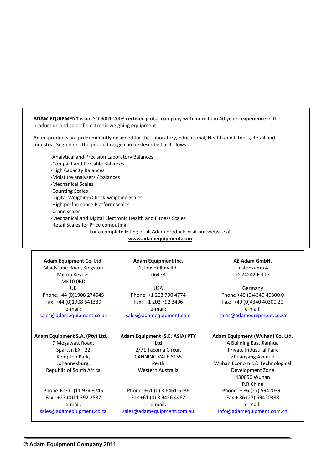**ADAM EQUIPMENT** is an ISO 9001:2008 certified global company with more than 40 years' experience in the production and sale of electronic weighing equipment.

Adam products are predominantly designed for the Laboratory, Educational, Health and Fitness, Retail and Industrial Segments. The product range can be described as follows:

- ‐Analytical and Precision Laboratory Balances
- ‐Compact and Portable Balances
- ‐High Capacity Balances
- ‐Moisture analysers / balances
- ‐Mechanical Scales
- ‐Counting Scales
- ‐Digital Weighing/Check‐weighing Scales
- ‐High performance Platform Scales
- ‐Crane scales

 $\mathsf{r}$ 

- ‐Mechanical and Digital Electronic Health and Fitness Scales
- ‐Retail Scales for Price computing
	- For a complete listing of all Adam products visit our website at

#### **www.adamequipment.com**

| Adam Equipment Co. Ltd.        | <b>Adam Equipment Inc.</b>     | AE Adam GmbH.                   |
|--------------------------------|--------------------------------|---------------------------------|
| Maidstone Road, Kingston       | 1, Fox Hollow Rd.              | Instenkamp 4                    |
| Milton Keynes                  | 06478                          | D-24242 Felde                   |
| <b>MK10 0BD</b>                |                                |                                 |
| UK                             | <b>USA</b>                     | Germany                         |
| Phone:+44 (0)1908 274545       | Phone: +1 203 790 4774         | Phone +49 (0)4340 40300 0       |
| Fax: +44 (0)1908 641339        | Fax: +1 203 792 3406           | Fax: +49 (0)4340 40300 20       |
| e-mail:                        | e-mail:                        | e-mail:                         |
| sales@adamequipment.co.uk      | sales@adamequipment.com        | sales@adamequipment.co.za       |
| Adam Equipment S.A. (Pty) Ltd. | Adam Equipment (S.E. ASIA) PTY | Adam Equipment (Wuhan) Co. Ltd. |
| 7 Megawatt Road,               | <b>Ltd</b>                     | A Building East Jianhua         |
| Spartan EXT 22                 | 2/71 Tacoma Circuit            | Private Industrial Park         |
| Kempton Park,                  | <b>CANNING VALE 6155</b>       | Zhuanyang Avenue                |
| Johannesburg,                  | Perth                          | Wuhan Economic & Technological  |
| Republic of South Africa       | Western Australia              | Development Zone                |
|                                |                                | 430056 Wuhan                    |
|                                |                                | P.R.China                       |
| Phone +27 (0)11 974 9745       | Phone: +61 (0) 8 6461 6236     | Phone: + 86 (27) 59420391       |
| Fax: +27 (0)11 392 2587        | Fax +61 (0) 8 9456 4462        | Fax + 86 (27) 59420388          |
|                                |                                |                                 |
| e-mail:                        | e-mail:                        | e-mail:                         |